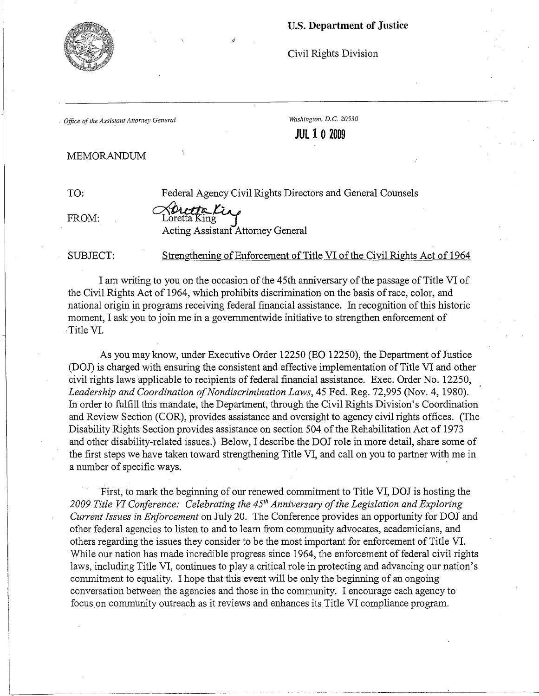## u.s. Department of Justice



Civil Rights Division

*Office of the Assistant Attorney General* Washington, D.C. 20530

**JULIO 2009** 

## MEMORANDUM

TO: Federal Agency Civil Rights Directors and General Counsels

FROM:  $\text{Lorentz}$ <br>Acting Assistant Attorney General

SUBJECT: Strengthening of Enforcement of Title VI of the Civil Rights Act of 1964

I am writing to you on the occasion ofthe 45th anniversary ofthe passage of Title VI of the Civil Rights. Act of 1964, which prohibits discrimination on the basis ofrace, color, and national origin in programs receiving federal financial assistance. In recognition ofthis historic moment, I ask you to join me in a govemmentwide initiative to strengthen enforcement of . Title VI.

As you may know, under Executive Order 12250 (EO 12250), the Department of Justice (DOJ) is charged with ensuring the consistent and effective implementation of Title VI and other civil rights laws applicable to recipients of federal financial assistance. Exec. Order No. 12250, Leadership and Coordination of Nondiscrimination Laws, 45 Fed. Reg. 72,995 (Nov. 4, 1980). In order to fulfill this mandate, the Department, through the Civil Rights Division's Coordination and Review Section (COR), provides assistance and oversight to agency civil rights offices. (The Disability Rights Section provides assistance on section 504 of the Rehabilitation Act of 1973 and other disability-related issues.) Below, I describe the DOJ role in more detail, share some of the first steps we have taken toward strengthening Title VI, and call on you to partner with me in a number of specific ways.

First, to mark the beginning of our renewed commitment to Title VI, DOJ is hosting the 2009 Title VI Conference: Celebrating the 45<sup>th</sup> Anniversary of the Legislation and Exploring *Current Issues in Enforcement* on July 20. The Conference provides an opportunity for DOJ and other federal agencies to listen to and to learn from community advocates, academicians, and others regarding the issues they consider to be the most important for enforcement of Title VI. While our nation has made incredible progress since 1964, the enforcement of federal civil rights laws, including Title VI, continues to playa critical role in protecting and advancing our nation's commitment to equality. I hope that this event will be only the beginning of an ongoing conversation between the agencies and those in the community. I encourage each agency to focus.on community outreach as it reviews and enhances its Title VI compliance program.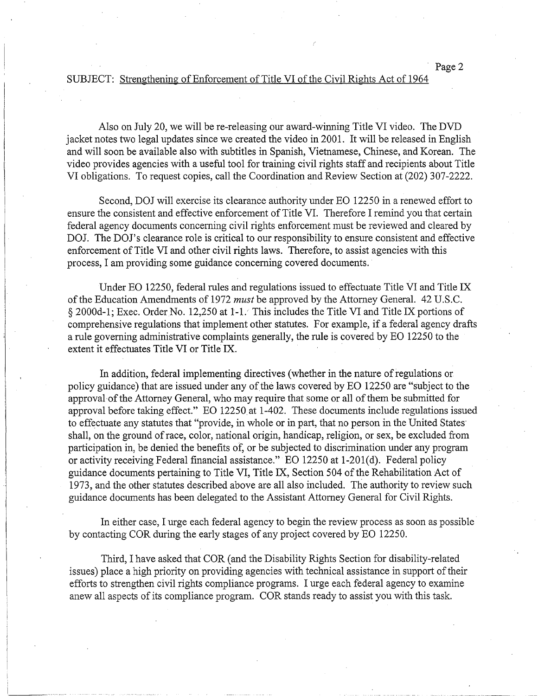## SUBJECT: Strengthening of Enforcement of Title VI of the Civil Rights Act of 1964

Also on July 20, we will be re-releasing our award-winning Title VI video. The DVD jacket notes two legal updates since we created the video in 2001. It will be released in English and will soon be available also with subtitles in Spanish, Vietnamese, Chinese, and Korean. The video provides agencies with a useful tool for training civil rights staff and recipients about Title VI obligations. To request copies, call the Coordination and Review Section at (202) 307-2222.

Second, DOJ will exercise its clearance authority under EO 12250 in a renewed effort to ensure the consistent and effective enforcement of Title VI. Therefore I remind you that certain federal agency documents concerning civil rights enforcement must be reviewed and cleared by DOJ. The DOJ's clearance role is critical to our responsibility to ensure consistent and effective enforcement of Title VI and other civil rights laws. Therefore, to assist agencies with this process, I am providing some guidance concerning covered documents.

Under EO 12250, federal rules and regulations issued to effectuate Title VI and Title IX of the Education Amendments of 1972 *must* be approved by the Attorney General. 42 U.S.C. § 2000d-1; Exec. Order No. 12,250 at 1-1. This includes the Title VI and Title IX portions of comprehensive regulations that implement other statutes. For example, if a federal agency drafts a rule governing administrative complaints generally, the rule is covered by EO 12250 to the extent it effectuates Title VI or Title IX. .

In addition, federal implementing directives (whether in the nature of regulations or policy guidance) that are issued under any of the laws covered by EO 12250 are "subject to the approval of the Attorney General, who may require that some or all of them be submitted for approval before taking effect." EO 12250.at 1-402. These documents include regulations issued to effectuate any statutes that "provide, in whole or in part, that no person in the United States· shall, on the ground of race, color, national origin, handicap, religion, or sex, be excluded from participation in, be denied the benefits of, or be subjected to discrimination under any program or activity receiving Federal financial assistance." EO 12250 at 1-201(d). Federal policy guidance documents pertaining to Title VI, Title IX, Section 504 of the Rehabilitation Act of 1973, and the other statutes described above are all also included. The authority to review such guidance documents has been delegated to the Assistant Attorney General for Civil Rights.

In either case, I urge each federal agency to begin the review process as soon as possible by contacting COR during the early stages of any project covered by EO 12250.

Third, I have asked that COR (and the Disability Rights Section for disability-related issues) place a high priority on providing agencies with technical assistance in support of their efforts to strengthen civil rights compliance programs. I urge each federal agency to examine anew all aspects of its compliance program. COR stands ready to assist you with this task.